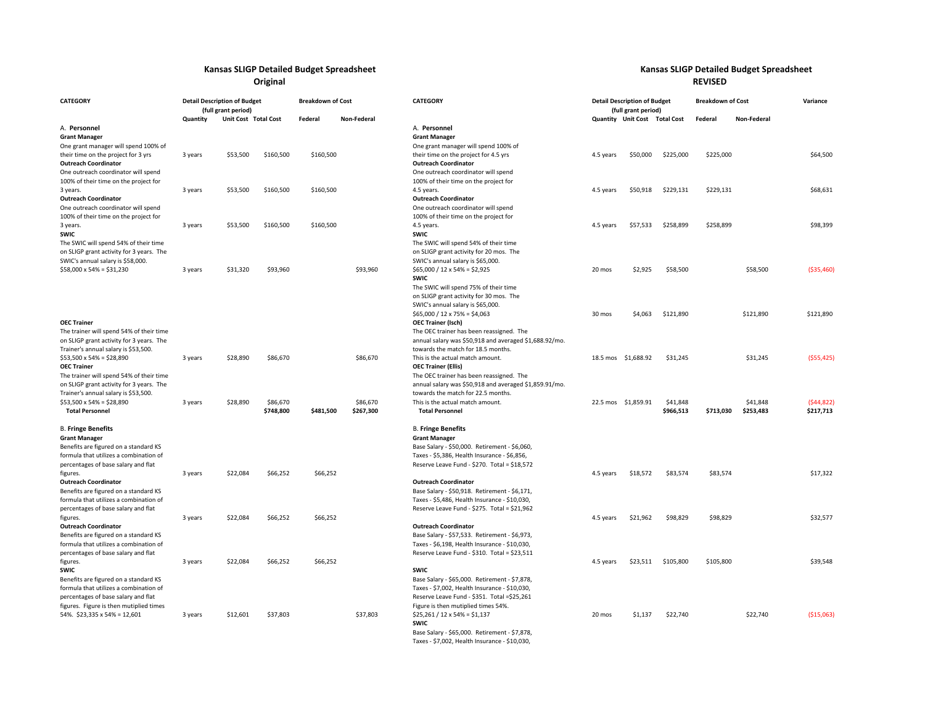## **Kansas SLIGP Detailed**

 **Budget Spreadsheet Kansas SLIGP Detailed Budget Spreadsheet Original REVISED**

| <b>CATEGORY</b><br><b>Detail Description of Budget</b><br>(full grant period)                                                                                                                |          |                      |                       |           | <b>Breakdown of Cost</b> | <b>CATEGORY</b>                                                                                                                                                                                              |           |                               | <b>Detail Description of Budget</b><br>(full grant period) | <b>Breakdown of Cost</b> |                       | Variance                |
|----------------------------------------------------------------------------------------------------------------------------------------------------------------------------------------------|----------|----------------------|-----------------------|-----------|--------------------------|--------------------------------------------------------------------------------------------------------------------------------------------------------------------------------------------------------------|-----------|-------------------------------|------------------------------------------------------------|--------------------------|-----------------------|-------------------------|
|                                                                                                                                                                                              | Quantity | Unit Cost Total Cost |                       | Federal   | Non-Federal              |                                                                                                                                                                                                              |           | Quantity Unit Cost Total Cost |                                                            | Federal                  | Non-Federal           |                         |
| A. Personnel<br><b>Grant Manager</b><br>One grant manager will spend 100% of<br>their time on the project for 3 yrs                                                                          | 3 years  | \$53,500             | \$160,500             | \$160,500 |                          | A. Personnel<br><b>Grant Manager</b><br>One grant manager will spend 100% of<br>their time on the project for 4.5 yrs                                                                                        | 4.5 years | \$50,000                      | \$225,000                                                  | \$225,000                |                       | \$64,500                |
| <b>Outreach Coordinator</b><br>One outreach coordinator will spend<br>100% of their time on the project for<br>3 years.                                                                      | 3 years  | \$53,500             | \$160,500             | \$160,500 |                          | <b>Outreach Coordinator</b><br>One outreach coordinator will spend<br>100% of their time on the project for<br>4.5 years.                                                                                    | 4.5 years | \$50,918                      | \$229,131                                                  | \$229,131                |                       | \$68,631                |
| <b>Outreach Coordinator</b><br>One outreach coordinator will spend<br>100% of their time on the project for                                                                                  | 3 years  | \$53,500             | \$160,500             | \$160,500 |                          | <b>Outreach Coordinator</b><br>One outreach coordinator will spend<br>100% of their time on the project for<br>4.5 years.                                                                                    | 4.5 years | \$57,533                      | \$258,899                                                  | \$258,899                |                       | \$98,399                |
| 3 years.<br><b>SWIC</b><br>The SWIC will spend 54% of their time<br>on SLIGP grant activity for 3 years. The<br>SWIC's annual salary is \$58,000.                                            |          |                      |                       |           |                          | <b>SWIC</b><br>The SWIC will spend 54% of their time<br>on SLIGP grant activity for 20 mos. The<br>SWIC's annual salary is \$65,000.                                                                         |           |                               |                                                            |                          |                       |                         |
| $$58,000 \times 54\% = $31,230$                                                                                                                                                              | 3 years  | \$31,320             | \$93,960              |           | \$93,960                 | $$65,000 / 12 \times 54\% = $2,925$<br><b>SWIC</b><br>The SWIC will spend 75% of their time<br>on SLIGP grant activity for 30 mos. The<br>SWIC's annual salary is \$65,000.                                  | 20 mos    | \$2,925                       | \$58,500                                                   |                          | \$58,500              | ( \$35,460)             |
| <b>OEC Trainer</b><br>The trainer will spend 54% of their time<br>on SLIGP grant activity for 3 years. The<br>Trainer's annual salary is \$53,500.                                           |          |                      |                       |           |                          | $$65,000 / 12 \times 75\% = $4,063$<br><b>OEC Trainer (Isch)</b><br>The OEC trainer has been reassigned. The<br>annual salary was \$50,918 and averaged \$1,688.92/mo.<br>towards the match for 18.5 months. | 30 mos    | \$4,063                       | \$121,890                                                  |                          | \$121,890             | \$121,890               |
| $$53,500 \times 54\% = $28,890$<br><b>OEC Trainer</b><br>The trainer will spend 54% of their time<br>on SLIGP grant activity for 3 years. The<br>Trainer's annual salary is \$53,500.        | 3 years  | \$28,890             | \$86,670              |           | \$86,670                 | This is the actual match amount.<br><b>OEC Trainer (Ellis)</b><br>The OEC trainer has been reassigned. The<br>annual salary was \$50,918 and averaged \$1,859.91/mo.<br>towards the match for 22.5 months.   |           | 18.5 mos \$1,688.92           | \$31,245                                                   |                          | \$31,245              | ( \$55,425)             |
| $$53,500 \times 54\% = $28,890$<br><b>Total Personnel</b>                                                                                                                                    | 3 years  | \$28,890             | \$86,670<br>\$748,800 | \$481,500 | \$86,670<br>\$267,300    | This is the actual match amount.<br><b>Total Personnel</b>                                                                                                                                                   |           | 22.5 mos \$1,859.91           | \$41,848<br>\$966,513                                      | \$713,030                | \$41,848<br>\$253,483 | (544, 822)<br>\$217,713 |
| <b>B. Fringe Benefits</b><br><b>Grant Manager</b><br>Benefits are figured on a standard KS<br>formula that utilizes a combination of<br>percentages of base salary and flat                  |          |                      |                       |           |                          | <b>B. Fringe Benefits</b><br><b>Grant Manager</b><br>Base Salary - \$50,000. Retirement - \$6,060,<br>Taxes - \$5,386, Health Insurance - \$6,856,<br>Reserve Leave Fund - \$270. Total = \$18,572           |           |                               |                                                            |                          |                       |                         |
| figures.<br><b>Outreach Coordinator</b><br>Benefits are figured on a standard KS<br>formula that utilizes a combination of<br>percentages of base salary and flat                            | 3 years  | \$22,084             | \$66,252              | \$66,252  |                          | <b>Outreach Coordinator</b><br>Base Salary - \$50,918. Retirement - \$6,171,<br>Taxes - \$5,486, Health Insurance - \$10,030,<br>Reserve Leave Fund - \$275. Total = \$21,962                                | 4.5 years | \$18,572                      | \$83,574                                                   | \$83,574                 |                       | \$17,322                |
| figures.<br><b>Outreach Coordinator</b><br>Benefits are figured on a standard KS<br>formula that utilizes a combination of<br>percentages of base salary and flat                            | 3 years  | \$22,084             | \$66,252              | \$66,252  |                          | <b>Outreach Coordinator</b><br>Base Salary - \$57,533. Retirement - \$6,973,<br>Taxes - \$6,198, Health Insurance - \$10,030,<br>Reserve Leave Fund - \$310. Total = \$23,511                                | 4.5 years | \$21,962                      | \$98,829                                                   | \$98,829                 |                       | \$32,577                |
| figures.<br><b>SWIC</b><br>Benefits are figured on a standard KS<br>formula that utilizes a combination of<br>percentages of base salary and flat<br>figures. Figure is then mutiplied times | 3 years  | \$22,084             | \$66,252              | \$66,252  |                          | <b>SWIC</b><br>Base Salary - \$65,000. Retirement - \$7,878,<br>Taxes - \$7,002, Health Insurance - \$10,030,<br>Reserve Leave Fund - \$351. Total =\$25,261<br>Figure is then mutiplied times 54%.          | 4.5 years | \$23,511                      | \$105,800                                                  | \$105,800                |                       | \$39,548                |
| 54%. \$23,335 x 54% = 12,601                                                                                                                                                                 | 3 years  | \$12,601             | \$37,803              |           | \$37,803                 | $$25,261 / 12 \times 54\% = $1,137$<br>SWIC<br>Base Salary - \$65,000. Retirement - \$7,878,<br>Taxes - \$7,002, Health Insurance - \$10,030,                                                                | 20 mos    | \$1,137                       | \$22,740                                                   |                          | \$22,740              | ( \$15,063)             |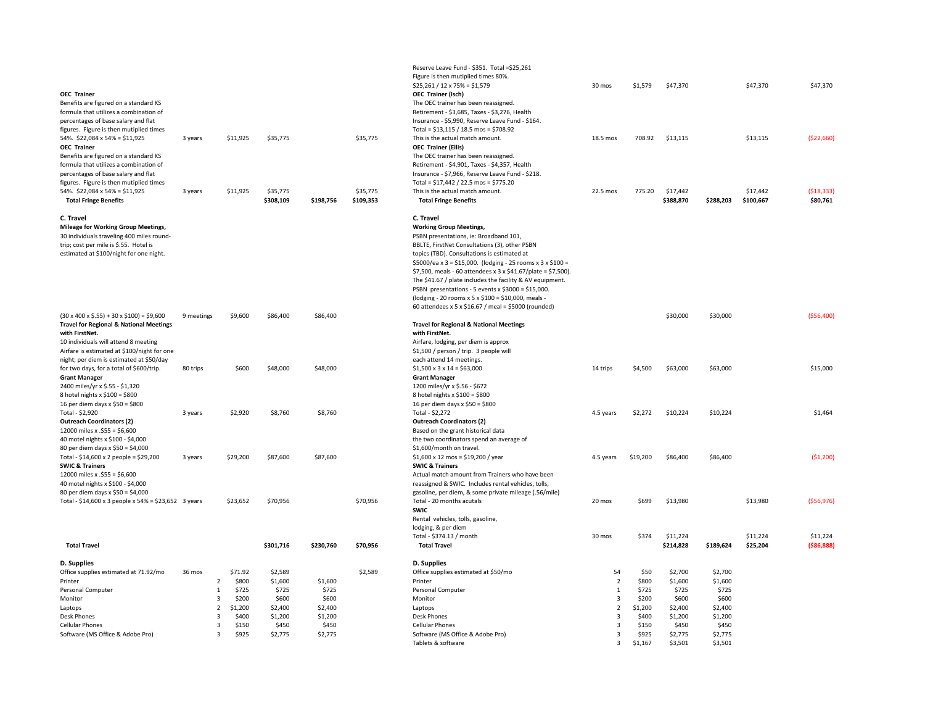| <b>OEC Trainer</b><br>Benefits are figured on a standard KS<br>formula that utilizes a combination of<br>percentages of base salary and flat<br>figures. Figure is then mutiplied times<br>54%. \$22,084 x 54% = \$11,925<br><b>OEC Trainer</b><br>Benefits are figured on a standard KS<br>formula that utilizes a combination of<br>percentages of base salary and flat<br>figures. Figure is then mutiplied times<br>54%. \$22,084 x 54% = \$11,925 | 3 years<br>3 years |                     | \$11,925<br>\$11,925      | \$35,775<br>\$35,775        |                  | \$35,775<br>\$35,775 | Reserve Leave Fund - \$351. Total = \$25,261<br>Figure is then mutiplied times 80%.<br>$$25,261 / 12 \times 75\% = $1,579$<br>OEC Trainer (Isch)<br>The OEC trainer has been reassigned.<br>Retirement - \$3,685, Taxes - \$3,276, Health<br>Insurance - \$5,990, Reserve Leave Fund - \$164.<br>Total = \$13,115 / 18.5 mos = \$708.92<br>This is the actual match amount.<br><b>OEC Trainer (Ellis)</b><br>The OEC trainer has been reassigned.<br>Retirement - \$4,901, Taxes - \$4,357, Health<br>Insurance - \$7,966, Reserve Leave Fund - \$218.<br>Total = \$17,442 / 22.5 mos = \$775.20<br>This is the actual match amount. | 30 mos<br>18.5 mos<br>22.5 mos       | \$1,579<br>708.92<br>775.20 | \$47,370<br>\$13,115<br>\$17,442 |                             | \$47,370<br>\$13,115<br>\$17,442 | \$47,370<br>( \$22,660)<br>( \$18, 333) |
|--------------------------------------------------------------------------------------------------------------------------------------------------------------------------------------------------------------------------------------------------------------------------------------------------------------------------------------------------------------------------------------------------------------------------------------------------------|--------------------|---------------------|---------------------------|-----------------------------|------------------|----------------------|--------------------------------------------------------------------------------------------------------------------------------------------------------------------------------------------------------------------------------------------------------------------------------------------------------------------------------------------------------------------------------------------------------------------------------------------------------------------------------------------------------------------------------------------------------------------------------------------------------------------------------------|--------------------------------------|-----------------------------|----------------------------------|-----------------------------|----------------------------------|-----------------------------------------|
| <b>Total Fringe Benefits</b>                                                                                                                                                                                                                                                                                                                                                                                                                           |                    |                     |                           | \$308,109                   | \$198,756        | \$109,353            | <b>Total Fringe Benefits</b>                                                                                                                                                                                                                                                                                                                                                                                                                                                                                                                                                                                                         |                                      |                             | \$388,870                        | \$288,203                   | \$100,667                        | \$80,761                                |
| C. Travel<br><b>Mileage for Working Group Meetings,</b><br>30 individuals traveling 400 miles round-<br>trip; cost per mile is \$.55. Hotel is<br>estimated at \$100/night for one night.                                                                                                                                                                                                                                                              |                    |                     |                           |                             |                  |                      | C. Travel<br><b>Working Group Meetings,</b><br>PSBN presentations, ie: Broadband 101,<br>BBLTE, FirstNet Consultations (3), other PSBN<br>topics (TBD). Consultations is estimated at<br>\$5000/ea x 3 = \$15,000. (lodging - 25 rooms x 3 x \$100 =<br>\$7,500, meals - 60 attendees x 3 x \$41.67/plate = \$7,500).<br>The \$41.67 / plate includes the facility & AV equipment.<br>PSBN presentations - 5 events x $$3000 = $15,000$ .<br>(lodging - 20 rooms x 5 x \$100 = \$10,000, meals -<br>60 attendees x 5 x \$16.67 / meal = \$5000 (rounded)                                                                             |                                      |                             |                                  |                             |                                  |                                         |
| $(30 \times 400 \times $.55) + 30 \times $100$ = \$9,600<br><b>Travel for Regional &amp; National Meetings</b>                                                                                                                                                                                                                                                                                                                                         | 9 meetings         |                     | \$9,600                   | \$86,400                    | \$86,400         |                      | <b>Travel for Regional &amp; National Meetings</b>                                                                                                                                                                                                                                                                                                                                                                                                                                                                                                                                                                                   |                                      |                             | \$30,000                         | \$30,000                    |                                  | ( \$56,400)                             |
| with FirstNet.<br>10 individuals will attend 8 meeting<br>Airfare is estimated at \$100/night for one<br>night; per diem is estimated at \$50/day<br>for two days, for a total of \$600/trip.                                                                                                                                                                                                                                                          | 80 trips           |                     | \$600                     | \$48,000                    | \$48,000         |                      | with FirstNet.<br>Airfare, lodging, per diem is approx<br>\$1,500 / person / trip. 3 people will<br>each attend 14 meetings.<br>$$1,500 \times 3 \times 14 = $63,000$                                                                                                                                                                                                                                                                                                                                                                                                                                                                | 14 trips                             | \$4,500                     | \$63,000                         | \$63,000                    |                                  | \$15,000                                |
| <b>Grant Manager</b><br>2400 miles/yr x \$.55 - \$1,320<br>8 hotel nights $x$ \$100 = \$800<br>16 per diem days x \$50 = \$800                                                                                                                                                                                                                                                                                                                         |                    |                     |                           |                             |                  |                      | <b>Grant Manager</b><br>1200 miles/yr x \$.56 - \$672<br>8 hotel nights $x$ \$100 = \$800<br>16 per diem days x $$50 = $800$                                                                                                                                                                                                                                                                                                                                                                                                                                                                                                         |                                      |                             |                                  |                             |                                  |                                         |
| Total - \$2,920<br><b>Outreach Coordinators (2)</b><br>12000 miles x .\$55 = \$6,600<br>40 motel nights x \$100 - \$4,000<br>80 per diem days x \$50 = \$4,000                                                                                                                                                                                                                                                                                         | 3 years            |                     | \$2,920                   | \$8,760                     | \$8,760          |                      | Total - \$2,272<br><b>Outreach Coordinators (2)</b><br>Based on the grant historical data<br>the two coordinators spend an average of<br>\$1,600/month on travel.                                                                                                                                                                                                                                                                                                                                                                                                                                                                    | 4.5 years                            | \$2,272                     | \$10,224                         | \$10,224                    |                                  | \$1,464                                 |
| Total - $$14,600 \times 2$ people = $$29,200$<br><b>SWIC &amp; Trainers</b><br>12000 miles x .\$55 = \$6,600<br>40 motel nights x \$100 - \$4,000<br>80 per diem days x \$50 = \$4,000                                                                                                                                                                                                                                                                 | 3 years            |                     | \$29,200                  | \$87,600                    | \$87,600         |                      | $$1,600 \times 12 \text{ mos} = $19,200 / \text{year}$<br><b>SWIC &amp; Trainers</b><br>Actual match amount from Trainers who have been<br>reassigned & SWIC. Includes rental vehicles, tolls,<br>gasoline, per diem, & some private mileage (.56/mile)                                                                                                                                                                                                                                                                                                                                                                              | 4.5 years                            | \$19,200                    | \$86,400                         | \$86,400                    |                                  | (51,200)                                |
| Total - \$14,600 x 3 people x 54% = \$23,652 3 years                                                                                                                                                                                                                                                                                                                                                                                                   |                    |                     | \$23,652                  | \$70,956                    |                  | \$70,956             | Total - 20 months acutals<br>SWIC<br>Rental vehicles, tolls, gasoline,<br>lodging, & per diem<br>Total - \$374.13 / month                                                                                                                                                                                                                                                                                                                                                                                                                                                                                                            | 20 mos<br>30 mos                     | \$699<br>\$374              | \$13,980<br>\$11,224             |                             | \$13,980<br>\$11,224             | ( \$56, 976)<br>\$11,224                |
| <b>Total Travel</b>                                                                                                                                                                                                                                                                                                                                                                                                                                    |                    |                     |                           | \$301,716                   | \$230,760        | \$70,956             | <b>Total Travel</b>                                                                                                                                                                                                                                                                                                                                                                                                                                                                                                                                                                                                                  |                                      |                             | \$214,828                        | \$189,624                   | \$25,204                         | ( \$86, 888)                            |
| D. Supplies<br>Office supplies estimated at 71.92/mo<br>Printer<br>Personal Computer                                                                                                                                                                                                                                                                                                                                                                   | 36 mos             | $\overline{2}$<br>1 | \$71.92<br>\$800<br>\$725 | \$2,589<br>\$1,600<br>\$725 | \$1,600<br>\$725 | \$2,589              | D. Supplies<br>Office supplies estimated at \$50/mo<br>Printer<br>Personal Computer                                                                                                                                                                                                                                                                                                                                                                                                                                                                                                                                                  | 54<br>$\overline{2}$<br>$\mathbf{1}$ | \$50<br>\$800<br>\$725      | \$2,700<br>\$1,600<br>\$725      | \$2,700<br>\$1,600<br>\$725 |                                  |                                         |
| Monitor<br>Laptops                                                                                                                                                                                                                                                                                                                                                                                                                                     |                    | 3<br>$\overline{2}$ | \$200<br>\$1,200          | \$600<br>\$2,400            | \$600<br>\$2,400 |                      | Monitor<br>Laptops                                                                                                                                                                                                                                                                                                                                                                                                                                                                                                                                                                                                                   | 3<br>$\overline{2}$                  | \$200<br>\$1,200            | \$600<br>\$2,400                 | \$600<br>\$2,400            |                                  |                                         |
| <b>Desk Phones</b>                                                                                                                                                                                                                                                                                                                                                                                                                                     |                    | 3<br>$\mathbf{R}$   | \$400<br>\$150            | \$1,200                     | \$1,200          |                      | <b>Desk Phones</b><br><b>Cellular Phones</b>                                                                                                                                                                                                                                                                                                                                                                                                                                                                                                                                                                                         | 3<br>$\overline{3}$                  | \$400<br>\$150              | \$1,200<br>\$450                 | \$1,200                     |                                  |                                         |
| <b>Cellular Phones</b><br>Software (MS Office & Adobe Pro)                                                                                                                                                                                                                                                                                                                                                                                             |                    | 3                   | \$925                     | \$450<br>\$2,775            | \$450<br>\$2,775 |                      | Software (MS Office & Adobe Pro)<br>Tablets & software                                                                                                                                                                                                                                                                                                                                                                                                                                                                                                                                                                               | $\overline{3}$<br>3                  | \$925<br>\$1.167            | \$2,775<br>\$3.501               | \$450<br>\$2,775<br>\$3.501 |                                  |                                         |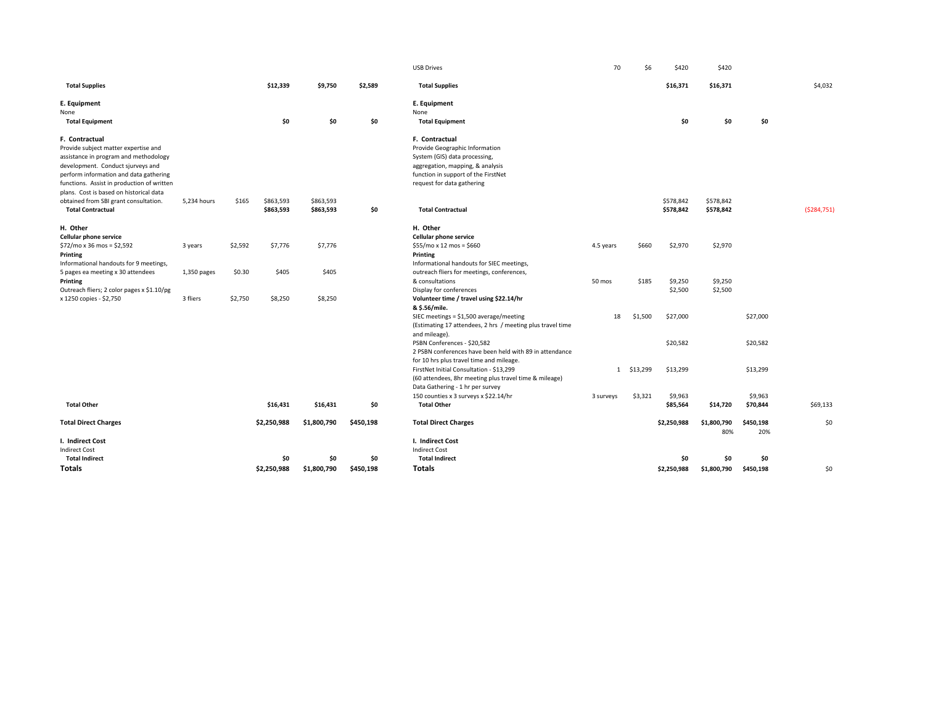|                                                                                       |             |         |             |             |           | <b>USB Drives</b>                                                                                      | 70        | \$6        | \$420       | \$420              |                  |             |
|---------------------------------------------------------------------------------------|-------------|---------|-------------|-------------|-----------|--------------------------------------------------------------------------------------------------------|-----------|------------|-------------|--------------------|------------------|-------------|
| <b>Total Supplies</b>                                                                 |             |         | \$12,339    | \$9,750     | \$2,589   | <b>Total Supplies</b>                                                                                  |           |            | \$16,371    | \$16,371           |                  | \$4,032     |
| E. Equipment                                                                          |             |         |             |             |           | E. Equipment                                                                                           |           |            |             |                    |                  |             |
| None                                                                                  |             |         |             |             |           | None                                                                                                   |           |            |             |                    |                  |             |
| <b>Total Equipment</b>                                                                |             |         | \$0         | \$0         | \$0       | <b>Total Equipment</b>                                                                                 |           |            | \$0         | \$0                | \$0              |             |
| F. Contractual                                                                        |             |         |             |             |           | F. Contractual                                                                                         |           |            |             |                    |                  |             |
| Provide subject matter expertise and                                                  |             |         |             |             |           | Provide Geographic Information                                                                         |           |            |             |                    |                  |             |
| assistance in program and methodology                                                 |             |         |             |             |           | System (GIS) data processing,                                                                          |           |            |             |                    |                  |             |
| development. Conduct sjurveys and                                                     |             |         |             |             |           | aggregation, mapping, & analysis                                                                       |           |            |             |                    |                  |             |
| perform information and data gathering                                                |             |         |             |             |           | function in support of the FirstNet                                                                    |           |            |             |                    |                  |             |
| functions. Assist in production of written<br>plans. Cost is based on historical data |             |         |             |             |           | request for data gathering                                                                             |           |            |             |                    |                  |             |
| obtained from SBI grant consultation.                                                 | 5,234 hours | \$165   | \$863,593   | \$863,593   |           |                                                                                                        |           |            | \$578,842   | \$578,842          |                  |             |
| <b>Total Contractual</b>                                                              |             |         | \$863,593   | \$863,593   | \$0       | <b>Total Contractual</b>                                                                               |           |            | \$578,842   | \$578,842          |                  | (5284, 751) |
| H. Other                                                                              |             |         |             |             |           | H. Other                                                                                               |           |            |             |                    |                  |             |
| Cellular phone service                                                                |             |         |             |             |           | Cellular phone service                                                                                 |           |            |             |                    |                  |             |
| $$72/mo \times 36 mos = $2,592$                                                       | 3 years     | \$2,592 | \$7,776     | \$7,776     |           | $$55/mo x 12 mos = $660$                                                                               | 4.5 years | \$660      | \$2,970     | \$2,970            |                  |             |
| Printing                                                                              |             |         |             |             |           | Printing                                                                                               |           |            |             |                    |                  |             |
| Informational handouts for 9 meetings,                                                |             |         |             |             |           | Informational handouts for SIEC meetings,                                                              |           |            |             |                    |                  |             |
| 5 pages ea meeting x 30 attendees                                                     | 1,350 pages | \$0.30  | \$405       | \$405       |           | outreach fliers for meetings, conferences,                                                             |           |            |             |                    |                  |             |
| Printing                                                                              |             |         |             |             |           | & consultations                                                                                        | 50 mos    | \$185      | \$9,250     | \$9,250            |                  |             |
| Outreach fliers; 2 color pages x \$1.10/pg                                            |             |         |             |             |           | Display for conferences                                                                                |           |            | \$2,500     | \$2,500            |                  |             |
| x 1250 copies - \$2,750                                                               | 3 fliers    | \$2,750 | \$8,250     | \$8,250     |           | Volunteer time / travel using \$22.14/hr                                                               |           |            |             |                    |                  |             |
|                                                                                       |             |         |             |             |           | & \$.56/mile.                                                                                          |           |            |             |                    |                  |             |
|                                                                                       |             |         |             |             |           | SIEC meetings = $$1,500$ average/meeting<br>(Estimating 17 attendees, 2 hrs / meeting plus travel time | 18        | \$1,500    | \$27,000    |                    | \$27,000         |             |
|                                                                                       |             |         |             |             |           | and mileage).                                                                                          |           |            |             |                    |                  |             |
|                                                                                       |             |         |             |             |           | PSBN Conferences - \$20,582                                                                            |           |            | \$20,582    |                    | \$20,582         |             |
|                                                                                       |             |         |             |             |           | 2 PSBN conferences have been held with 89 in attendance                                                |           |            |             |                    |                  |             |
|                                                                                       |             |         |             |             |           | for 10 hrs plus travel time and mileage.                                                               |           |            |             |                    |                  |             |
|                                                                                       |             |         |             |             |           | FirstNet Initial Consultation - \$13,299                                                               |           | 1 \$13,299 | \$13,299    |                    | \$13,299         |             |
|                                                                                       |             |         |             |             |           | (60 attendees, 8hr meeting plus travel time & mileage)                                                 |           |            |             |                    |                  |             |
|                                                                                       |             |         |             |             |           | Data Gathering - 1 hr per survey                                                                       |           |            |             |                    |                  |             |
|                                                                                       |             |         |             |             |           | 150 counties x 3 surveys x \$22.14/hr                                                                  | 3 surveys | \$3,321    | \$9,963     |                    | \$9,963          |             |
| <b>Total Other</b>                                                                    |             |         | \$16,431    | \$16,431    | \$0       | <b>Total Other</b>                                                                                     |           |            | \$85,564    | \$14,720           | \$70,844         | \$69,133    |
| <b>Total Direct Charges</b>                                                           |             |         | \$2,250,988 | \$1,800,790 | \$450,198 | <b>Total Direct Charges</b>                                                                            |           |            | \$2,250,988 | \$1,800,790<br>80% | \$450,198<br>20% | \$0         |
| I. Indirect Cost                                                                      |             |         |             |             |           | I. Indirect Cost                                                                                       |           |            |             |                    |                  |             |
| <b>Indirect Cost</b>                                                                  |             |         |             |             |           | <b>Indirect Cost</b>                                                                                   |           |            |             |                    |                  |             |
| <b>Total Indirect</b>                                                                 |             |         | \$0         | \$0         | \$0       | <b>Total Indirect</b>                                                                                  |           |            | \$0         | \$0                | \$0              |             |
| Totals                                                                                |             |         | \$2,250,988 | \$1,800,790 | \$450,198 | <b>Totals</b>                                                                                          |           |            | \$2,250,988 | \$1,800,790        | \$450,198        | \$0         |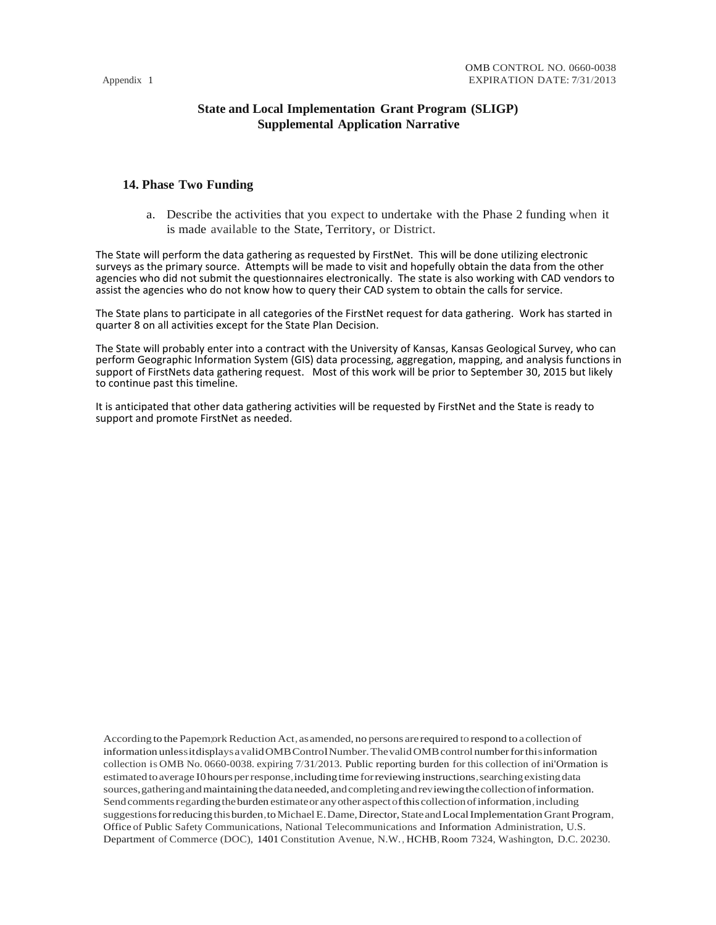## **State and Local Implementation Grant Program (SLIGP) Supplemental Application Narrative**

## **14. Phase Two Funding**

a. Describe the activities that you expect to undertake with the Phase 2 funding when it is made available to the State, Territory, or District.

The State will perform the data gathering as requested by FirstNet. This will be done utilizing electronic surveys as the primary source. Attempts will be made to visit and hopefully obtain the data from the other agencies who did not submit the questionnaires electronically. The state is also working with CAD vendors to assist the agencies who do not know how to query their CAD system to obtain the calls for service.

The State plans to participate in all categories of the FirstNet request for data gathering. Work has started in quarter 8 on all activities except for the State Plan Decision.

The State will probably enter into a contract with the University of Kansas, Kansas Geological Survey, who can perform Geographic Information System (GIS) data processing, aggregation, mapping, and analysis functions in support of FirstNets data gathering request. Most of this work will be prior to September 30, 2015 but likely to continue past this timeline.

It is anticipated that other data gathering activities will be requested by FirstNet and the State is ready to support and promote FirstNet as needed.

According to the Papem;ork Reduction Act, as amended, no persons are required to respond to a collection of information unless it displays a valid OMB Control Number. The valid OMB control number for this information collection is OMB No. 0660-0038. expiring 7/31/2013. Public reporting burden for this collection of ini'Ormation is estimated to average I0 hours per response, including time for reviewing instructions, searching existing data sources, gathering and maintaining the data needed, and completing and reviewing the collection of information. Send comments regarding the burden estimate or any other aspect of this collection of information, including suggestions for reducing this burden, to Michael E. Dame, Director, State and Local Implementation Grant Program, Office of Public Safety Communications, National Telecommunications and Information Administration, U.S. Department of Commerce (DOC), 1401 Constitution Avenue, N.W., HCHB,Room 7324, Washington, D.C. 20230.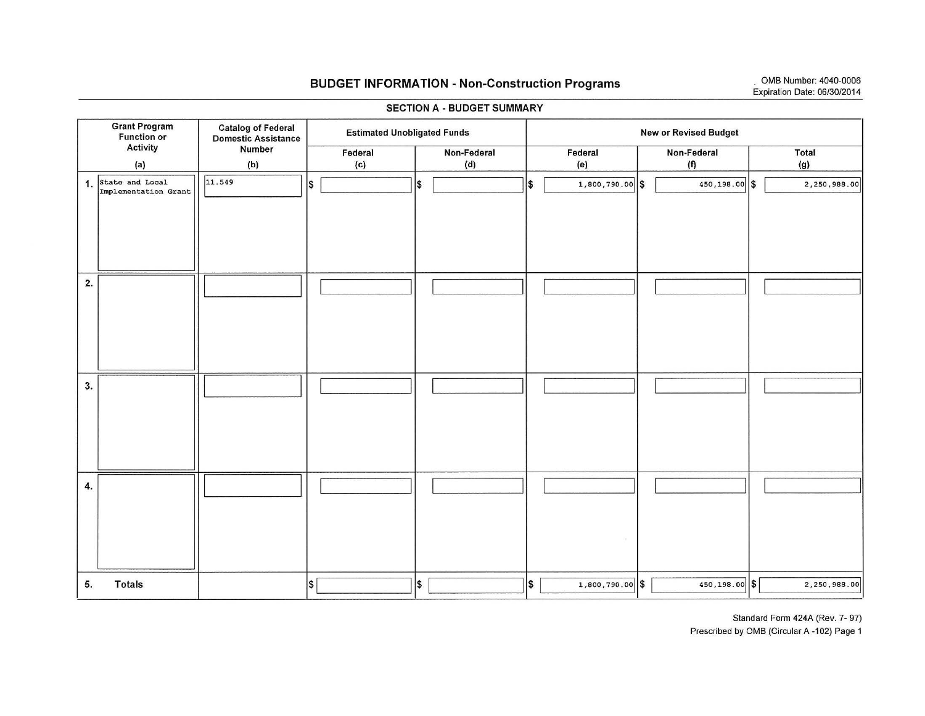Grant Program Function or Activity (a)

5. Totals

# BUDGET INFORMATION - Non-Construction Programs OMB Number: 4040-0006

SECTION A - BUDGET SUMMARY Catalog of Federal Estimated Unobligated Funds Domestic Assistance<br>
Number Federal Mon-Federal<br>
(b) (c) (d) (b) (c) (d) I New or Revised Budget Federal (e)  $1,800,790.00$  \$ Non-Federal | Total  $(f)$  (g)  $\overline{450,198.00}$  \$  $\overline{2,250,988.00}$ 

 $1,800,790.00$  \$

|    |                                            | 11.549 |        |                      |                   |               |             |
|----|--------------------------------------------|--------|--------|----------------------|-------------------|---------------|-------------|
|    | 1. State and Local<br>Implementation Grant |        | $\sim$ | \$<br>$\parallel$ \$ | $1,800,790.00$ \$ | 450,198.00 \$ | 2,250,988.0 |
| 2. |                                            |        |        |                      |                   |               |             |
| 3. |                                            |        |        |                      |                   |               |             |
| 4. |                                            |        |        |                      |                   |               |             |

\$I I\$ I I\$ I

Standard Form 424A (Rev. 7- 97) Prescribed by OMS (Circular A -102) Page 1

450,198.00 \$ 2,250,988.00

## Expiration Date: 06/30/2014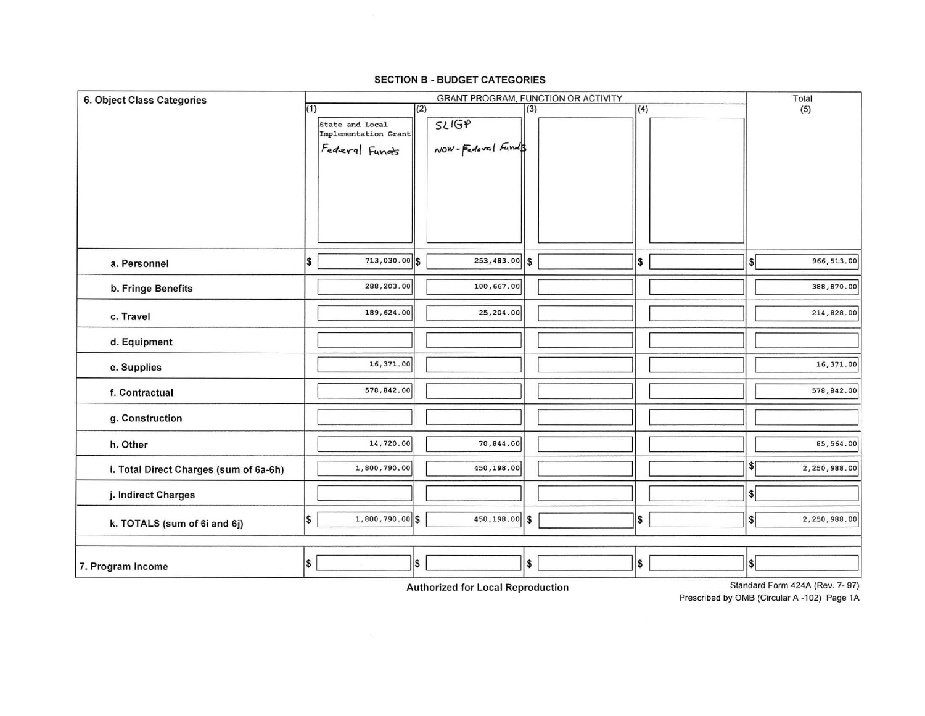| <b>6. Object Class Categories</b>      |     | GRANT PROGRAM, FUNCTION OR ACTIVITY |     |                   |     |  |     |                  | Total            |                                                  |
|----------------------------------------|-----|-------------------------------------|-----|-------------------|-----|--|-----|------------------|------------------|--------------------------------------------------|
|                                        | (1) |                                     | (2) |                   | (3) |  |     | $\overline{(4)}$ |                  | (5)                                              |
|                                        |     | State and Local                     |     | SLIGP             |     |  |     |                  |                  |                                                  |
|                                        |     | Implementation Grant                |     |                   |     |  |     |                  |                  |                                                  |
|                                        |     | Federal Funds                       |     | NOW-Federal Funds |     |  |     |                  |                  |                                                  |
|                                        |     |                                     |     |                   |     |  |     |                  |                  |                                                  |
|                                        |     |                                     |     |                   |     |  |     |                  |                  |                                                  |
|                                        |     |                                     |     |                   |     |  |     |                  |                  |                                                  |
|                                        |     |                                     |     |                   |     |  |     |                  |                  |                                                  |
|                                        |     |                                     |     |                   |     |  |     |                  |                  |                                                  |
|                                        |     |                                     |     |                   |     |  |     |                  |                  |                                                  |
| a. Personnel                           | S,  | 713,030.00 \$                       |     | $253,483.00$ \$   |     |  | l\$ |                  | \$               | 966,513.00                                       |
|                                        |     | 288,203.00                          |     | 100,667.00        |     |  |     |                  |                  | 388,870.00                                       |
| b. Fringe Benefits                     |     |                                     |     |                   |     |  |     |                  |                  |                                                  |
| c. Travel                              |     | 189,624.00                          |     | 25,204.00         |     |  |     |                  |                  | 214,828.00                                       |
|                                        |     |                                     |     |                   |     |  |     |                  |                  |                                                  |
| d. Equipment                           |     |                                     |     |                   |     |  |     |                  |                  |                                                  |
|                                        |     | 16,371.00                           |     |                   |     |  |     |                  |                  | 16,371.00                                        |
| e. Supplies                            |     |                                     |     |                   |     |  |     |                  |                  |                                                  |
| f. Contractual                         |     | 578,842.00                          |     |                   |     |  |     |                  |                  | 578,842.00                                       |
|                                        |     |                                     |     |                   |     |  |     |                  |                  |                                                  |
| g. Construction                        |     |                                     |     |                   |     |  |     |                  |                  |                                                  |
| h. Other                               |     | 14,720.00                           |     | 70,844.00         |     |  |     |                  |                  | 85,564.00                                        |
|                                        |     |                                     |     |                   |     |  |     |                  |                  |                                                  |
| i. Total Direct Charges (sum of 6a-6h) |     | 1,800,790.00                        |     | 450,198.00        |     |  |     |                  | \$               | 2,250,988.00                                     |
|                                        |     |                                     |     |                   |     |  |     |                  | $\boldsymbol{s}$ |                                                  |
| j. Indirect Charges                    |     |                                     |     |                   |     |  |     |                  |                  |                                                  |
| k. TOTALS (sum of 6i and 6j)           | \$  | 1,800,790.00 \$                     |     | 450,198.00 \$     |     |  | \$  |                  | $\sqrt{2}$       | 2,250,988.00                                     |
|                                        |     |                                     |     |                   |     |  |     |                  |                  |                                                  |
|                                        |     |                                     |     |                   |     |  |     |                  |                  |                                                  |
| 7. Program Income                      | \$  |                                     | S,  |                   | \$  |  | \$  |                  | \$               |                                                  |
|                                        |     |                                     |     |                   |     |  |     |                  |                  | $D$ landerd $\Gamma$ ann 1014/ $\Gamma$<br>7.071 |

## **SECTION B - BUDGET CATEGORIES**

**Authorized for Local Reproduction** 

Standard Form 424A (Rev. 7-97)

Prescribed by OMB (Circular A -102) Page 1A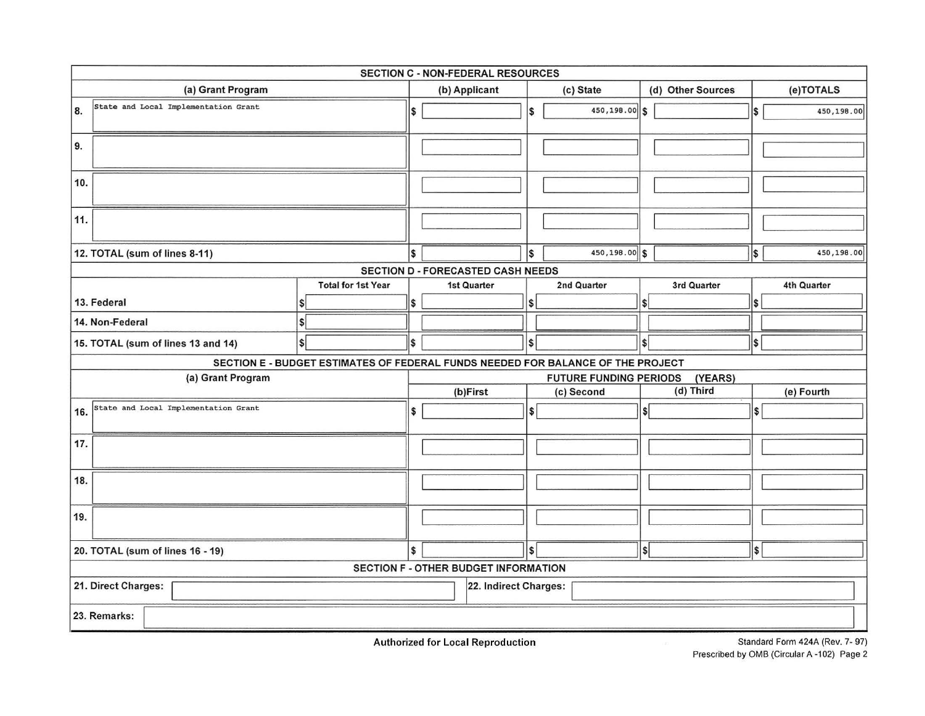| SECTION C - NON-FEDERAL RESOURCES            |                                                                                 |                                          |                                      |     |               |                   |            |             |  |  |  |  |
|----------------------------------------------|---------------------------------------------------------------------------------|------------------------------------------|--------------------------------------|-----|---------------|-------------------|------------|-------------|--|--|--|--|
| (a) Grant Program                            |                                                                                 |                                          | (b) Applicant                        |     | (c) State     | (d) Other Sources |            | (e)TOTALS   |  |  |  |  |
| State and Local Implementation Grant<br>8.   |                                                                                 | \$                                       |                                      | I\$ | 450,198.00 \$ |                   | \$         | 450,198.00  |  |  |  |  |
| 9.                                           |                                                                                 |                                          |                                      |     |               |                   |            |             |  |  |  |  |
| 10.                                          |                                                                                 |                                          |                                      |     |               |                   |            |             |  |  |  |  |
| 11.                                          |                                                                                 |                                          |                                      |     |               |                   |            |             |  |  |  |  |
| 12. TOTAL (sum of lines 8-11)                |                                                                                 |                                          |                                      | l\$ | 450,198.00 \$ |                   | \$         | 450,198.00  |  |  |  |  |
|                                              |                                                                                 |                                          | SECTION D - FORECASTED CASH NEEDS    |     |               |                   |            |             |  |  |  |  |
|                                              | <b>Total for 1st Year</b>                                                       |                                          | 1st Quarter                          |     | 2nd Quarter   | 3rd Quarter       |            | 4th Quarter |  |  |  |  |
| 13. Federal                                  |                                                                                 | \$                                       |                                      | s   |               |                   | 1\$        |             |  |  |  |  |
| 14. Non-Federal                              |                                                                                 |                                          |                                      |     |               |                   |            |             |  |  |  |  |
| 15. TOTAL (sum of lines 13 and 14)           | S                                                                               | \$                                       |                                      | l\$ |               | l\$               | S,         |             |  |  |  |  |
|                                              | SECTION E - BUDGET ESTIMATES OF FEDERAL FUNDS NEEDED FOR BALANCE OF THE PROJECT |                                          |                                      |     |               |                   |            |             |  |  |  |  |
| (a) Grant Program                            |                                                                                 | <b>FUTURE FUNDING PERIODS</b><br>(YEARS) |                                      |     |               |                   |            |             |  |  |  |  |
|                                              |                                                                                 |                                          | (b)First                             |     | (c) Second    | (d) Third         | (e) Fourth |             |  |  |  |  |
| State and Local Implementation Grant<br>16.  |                                                                                 | \$                                       |                                      | \$  |               | \$                | 1\$        |             |  |  |  |  |
| 17.                                          |                                                                                 |                                          |                                      |     |               |                   |            |             |  |  |  |  |
| 18.                                          |                                                                                 |                                          |                                      |     |               |                   |            |             |  |  |  |  |
| 19.                                          |                                                                                 |                                          |                                      |     |               |                   |            |             |  |  |  |  |
| 20. TOTAL (sum of lines 16 - 19)             |                                                                                 | \$                                       |                                      | l\$ |               | <b>SI</b>         | 5          |             |  |  |  |  |
|                                              |                                                                                 |                                          | SECTION F - OTHER BUDGET INFORMATION |     |               |                   |            |             |  |  |  |  |
| 21. Direct Charges:<br>22. Indirect Charges: |                                                                                 |                                          |                                      |     |               |                   |            |             |  |  |  |  |
| 23. Remarks:                                 |                                                                                 |                                          |                                      |     |               |                   |            |             |  |  |  |  |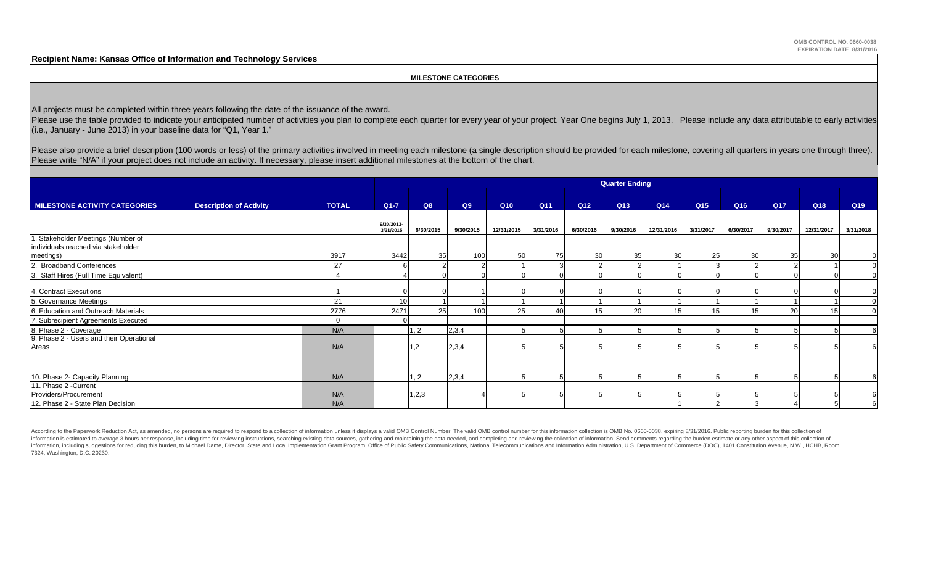**Recipient Name: Kansas Office of Information and Technology Services**

### **MILESTONE CATEGORIES**

All projects must be completed within three years following the date of the issuance of the award.

Please use the table provided to indicate your anticipated number of activities you plan to complete each quarter for every year of your project. Year One begins July 1, 2013. Please include any data attributable to early (i.e., January - June 2013) in your baseline data for "Q1, Year 1."

Please also provide a brief description (100 words or less) of the primary activities involved in meeting each milestone (a single description should be provided for each milestone, covering all quarters in years one throu Please write "N/A" if your project does not include an activity. If necessary, please insert additional milestones at the bottom of the chart.

|                                                                           |                                |              | <b>Quarter Ending</b>   |           |           |            |           |                 |                 |            |                 |           |           |            |           |
|---------------------------------------------------------------------------|--------------------------------|--------------|-------------------------|-----------|-----------|------------|-----------|-----------------|-----------------|------------|-----------------|-----------|-----------|------------|-----------|
| <b>MILESTONE ACTIVITY CATEGORIES</b>                                      | <b>Description of Activity</b> | <b>TOTAL</b> | $Q1 - 7$                | Q8        | Q9        | Q10        | Q11       | Q12             | Q <sub>13</sub> | Q14        | Q <sub>15</sub> | Q16       | Q17       | Q18        | Q19       |
|                                                                           |                                |              | 9/30/2013-<br>3/31/2015 | 6/30/2015 | 9/30/2015 | 12/31/2015 | 3/31/2016 | 6/30/2016       | 9/30/2016       | 12/31/2016 | 3/31/2017       | 6/30/2017 | 9/30/2017 | 12/31/2017 | 3/31/2018 |
| 1. Stakeholder Meetings (Number of<br>individuals reached via stakeholder |                                |              |                         |           | 100       | 50         |           |                 | 35 <sub>l</sub> | 30         |                 | 30        | 35        | 30         |           |
| meetings)<br>2. Broadband Conferences                                     |                                | 3917<br>27   | 3442                    | 35        |           |            | 75        | 30 <sup>1</sup> |                 |            | 25              |           |           |            |           |
| 3. Staff Hires (Full Time Equivalent)                                     |                                |              |                         |           |           |            |           |                 |                 |            |                 |           |           |            | $\Omega$  |
| 4. Contract Executions                                                    |                                |              |                         |           |           |            |           |                 |                 |            |                 |           |           |            |           |
| 5. Governance Meetings                                                    |                                | 21           | 10                      |           |           |            |           |                 |                 |            |                 |           |           |            |           |
| 6. Education and Outreach Materials                                       |                                | 2776         | 2471                    | 25        | 100       | 25         | 40        | 15              | 20              |            | 15              |           | 20        |            |           |
| 7. Subrecipient Agreements Executed                                       |                                | $\Omega$     |                         |           |           |            |           |                 |                 |            |                 |           |           |            |           |
| 8. Phase 2 - Coverage                                                     |                                | N/A          |                         | 1, 2      | 2,3,4     |            |           |                 |                 |            |                 |           |           |            |           |
| 9. Phase 2 - Users and their Operational<br>Areas                         |                                | N/A          |                         | 1,2       | 2,3,4     |            |           |                 |                 |            |                 |           |           |            |           |
|                                                                           |                                |              |                         |           |           |            |           |                 |                 |            |                 |           |           |            |           |
| 10. Phase 2- Capacity Planning                                            |                                | N/A          |                         | 1, 2      | 2,3,4     |            |           |                 |                 |            |                 |           |           |            |           |
| 11. Phase 2 - Current                                                     |                                |              |                         |           |           |            |           |                 |                 |            |                 |           |           |            |           |
| Providers/Procurement                                                     |                                | N/A          |                         | 1,2,3     |           |            |           |                 |                 |            |                 |           |           |            |           |
| 12. Phase 2 - State Plan Decision                                         |                                | N/A          |                         |           |           |            |           |                 |                 |            |                 |           |           |            |           |

According to the Paperwork Reduction Act, as amended, no persons are required to respond to a collection of information unless it displays a valid OMB Control Number. The valid OMB control number for this information colle information is estimated to average 3 hours per response, including time for reviewing instructions, searching existing data sources, gathering and maintaining the data needed, and completing and reviewing the collection o information, including suggestions for reducing this burden, to Michael Dame, Director, State and Local Implementation Grant Program, Office of Public Safety Communications, National Telecommunications and Information Admi 7324, Washington, D.C. 20230.